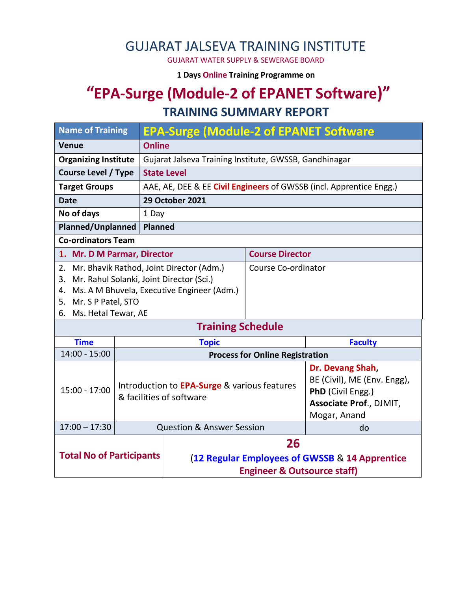# GUJARAT JALSEVA TRAINING INSTITUTE

GUJARAT WATER SUPPLY & SEWERAGE BOARD

**1 Days Online Training Programme on** 

## **"EPA-Surge (Module-2 of EPANET Software)" TRAINING SUMMARY REPORT**

#### **Name of Training EPA-Surge (Module-2 of EPANET Software Venue Online Organizing Institute** | Gujarat Jalseva Training Institute, GWSSB, Gandhinagar **Course Level / Type** | State Level **Target Groups** | AAE, AE, DEE & EE **Civil Engineers** of GWSSB (incl. Apprentice Engg.) **Date 29 October 2021 No of days** 1 Day **Planned/Unplanned Planned Co-ordinators Team 1. Mr. D M Parmar, Director Course Director** 2. Mr. Bhavik Rathod, Joint Director (Adm.) 3. Mr. Rahul Solanki, Joint Director (Sci.) 4. Ms. A M Bhuvela, Executive Engineer (Adm.) 5. Mr. S P Patel, STO 6. Ms. Hetal Tewar, AE Course Co-ordinator **Training Schedule Time Topic Faculty** 14:00 - 15:00 **Process for Online Registration** 15:00 - 17:00 Introduction to **EPA-Surge** & various features & facilities of software **Dr. Devang Shah,**  BE (Civil), ME (Env. Engg), **PhD** (Civil Engg.) **Associate Prof**., DJMIT, Mogar, Anand 17:00 – 17:30 Question & Answer Session and do **Total No of Participants 26** (**12 Regular Employees of GWSSB** & **14 Apprentice Engineer & Outsource staff)**